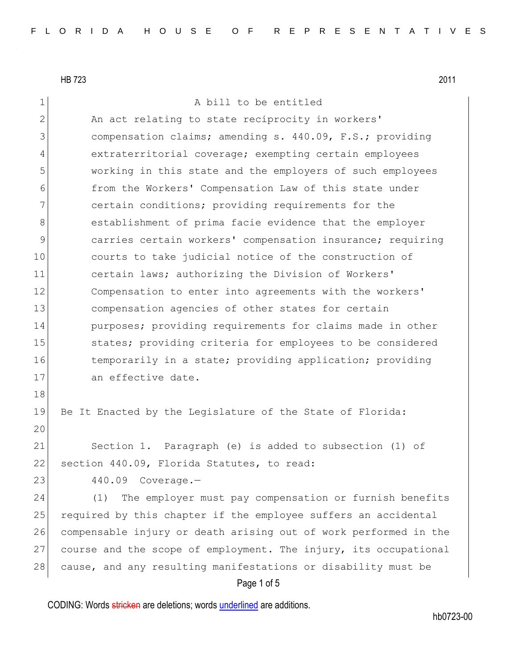| $\mathbf 1$    | A bill to be entitled                                            |
|----------------|------------------------------------------------------------------|
| $\overline{2}$ | An act relating to state reciprocity in workers'                 |
| 3              | compensation claims; amending s. 440.09, F.S.; providing         |
| 4              | extraterritorial coverage; exempting certain employees           |
| 5              | working in this state and the employers of such employees        |
| 6              | from the Workers' Compensation Law of this state under           |
| 7              | certain conditions; providing requirements for the               |
| 8              | establishment of prima facie evidence that the employer          |
| 9              | carries certain workers' compensation insurance; requiring       |
| 10             | courts to take judicial notice of the construction of            |
| 11             | certain laws; authorizing the Division of Workers'               |
| 12             | Compensation to enter into agreements with the workers'          |
| 13             | compensation agencies of other states for certain                |
| 14             | purposes; providing requirements for claims made in other        |
| 15             | states; providing criteria for employees to be considered        |
| 16             | temporarily in a state; providing application; providing         |
| 17             | an effective date.                                               |
| 18             |                                                                  |
| 19             | Be It Enacted by the Legislature of the State of Florida:        |
| 20             |                                                                  |
| 21             | Section 1. Paragraph (e) is added to subsection (1) of           |
| 22             | section 440.09, Florida Statutes, to read:                       |
| 23             | 440.09<br>$Coverage. -$                                          |
| 24             | The employer must pay compensation or furnish benefits<br>(1)    |
| 25             | required by this chapter if the employee suffers an accidental   |
| 26             | compensable injury or death arising out of work performed in the |
| 27             | course and the scope of employment. The injury, its occupational |
| 28             | cause, and any resulting manifestations or disability must be    |
|                | Page 1 of 5                                                      |

CODING: Words stricken are deletions; words underlined are additions.

hb0723-00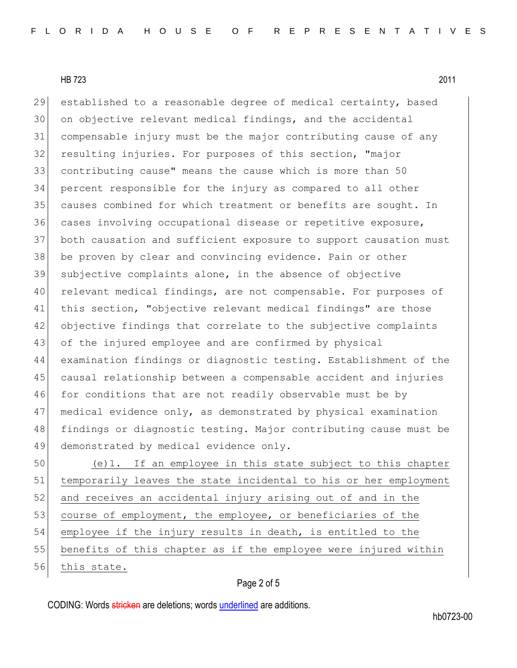established to a reasonable degree of medical certainty, based on objective relevant medical findings, and the accidental compensable injury must be the major contributing cause of any resulting injuries. For purposes of this section, "major contributing cause" means the cause which is more than 50 percent responsible for the injury as compared to all other 35 causes combined for which treatment or benefits are sought. In 36 cases involving occupational disease or repetitive exposure, both causation and sufficient exposure to support causation must be proven by clear and convincing evidence. Pain or other subjective complaints alone, in the absence of objective relevant medical findings, are not compensable. For purposes of this section, "objective relevant medical findings" are those objective findings that correlate to the subjective complaints 43 of the injured employee and are confirmed by physical examination findings or diagnostic testing. Establishment of the causal relationship between a compensable accident and injuries for conditions that are not readily observable must be by medical evidence only, as demonstrated by physical examination findings or diagnostic testing. Major contributing cause must be 49 demonstrated by medical evidence only.

 (e)1. If an employee in this state subject to this chapter temporarily leaves the state incidental to his or her employment 52 and receives an accidental injury arising out of and in the 53 course of employment, the employee, or beneficiaries of the employee if the injury results in death, is entitled to the benefits of this chapter as if the employee were injured within 56 this state.

## Page 2 of 5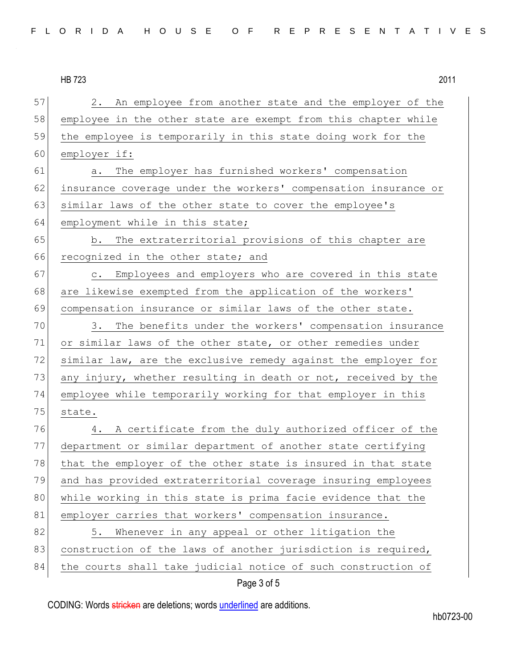57 2. An employee from another state and the employer of the 58 employee in the other state are exempt from this chapter while 59 the employee is temporarily in this state doing work for the 60 employer if: 61 a. The employer has furnished workers' compensation 62 insurance coverage under the workers' compensation insurance or 63 similar laws of the other state to cover the employee's 64 employment while in this state; 65 b. The extraterritorial provisions of this chapter are 66 recognized in the other state; and 67 c. Employees and employers who are covered in this state 68 are likewise exempted from the application of the workers' 69 compensation insurance or similar laws of the other state. 70 3. The benefits under the workers' compensation insurance 71 or similar laws of the other state, or other remedies under 72 similar law, are the exclusive remedy against the employer for 73 any injury, whether resulting in death or not, received by the 74 employee while temporarily working for that employer in this 75 state. 76 4. A certificate from the duly authorized officer of the 77 department or similar department of another state certifying 78 that the employer of the other state is insured in that state 79 and has provided extraterritorial coverage insuring employees 80 while working in this state is prima facie evidence that the 81 employer carries that workers' compensation insurance. 82 5. Whenever in any appeal or other litigation the 83 construction of the laws of another jurisdiction is required, 84 the courts shall take judicial notice of such construction of

## Page 3 of 5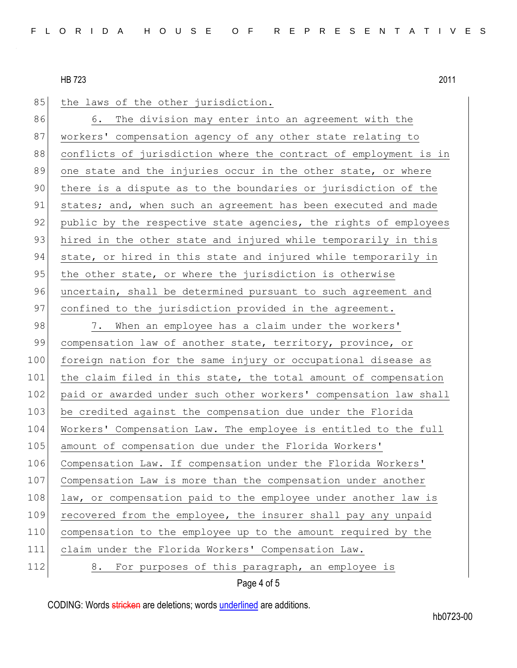85 the laws of the other jurisdiction. 86 6. The division may enter into an agreement with the 87 workers' compensation agency of any other state relating to 88 conflicts of jurisdiction where the contract of employment is in 89 one state and the injuries occur in the other state, or where 90 there is a dispute as to the boundaries or jurisdiction of the 91 states; and, when such an agreement has been executed and made 92 public by the respective state agencies, the rights of employees 93 hired in the other state and injured while temporarily in this 94 state, or hired in this state and injured while temporarily in 95 the other state, or where the jurisdiction is otherwise 96 uncertain, shall be determined pursuant to such agreement and 97 confined to the jurisdiction provided in the agreement. 98 7. When an employee has a claim under the workers' 99 compensation law of another state, territory, province, or 100 foreign nation for the same injury or occupational disease as 101 the claim filed in this state, the total amount of compensation 102 paid or awarded under such other workers' compensation law shall 103 be credited against the compensation due under the Florida 104 Workers' Compensation Law. The employee is entitled to the full 105 amount of compensation due under the Florida Workers' 106 Compensation Law. If compensation under the Florida Workers' 107 Compensation Law is more than the compensation under another 108 law, or compensation paid to the employee under another law is 109 recovered from the employee, the insurer shall pay any unpaid 110 compensation to the employee up to the amount required by the 111 claim under the Florida Workers' Compensation Law. 112 8. For purposes of this paragraph, an employee is